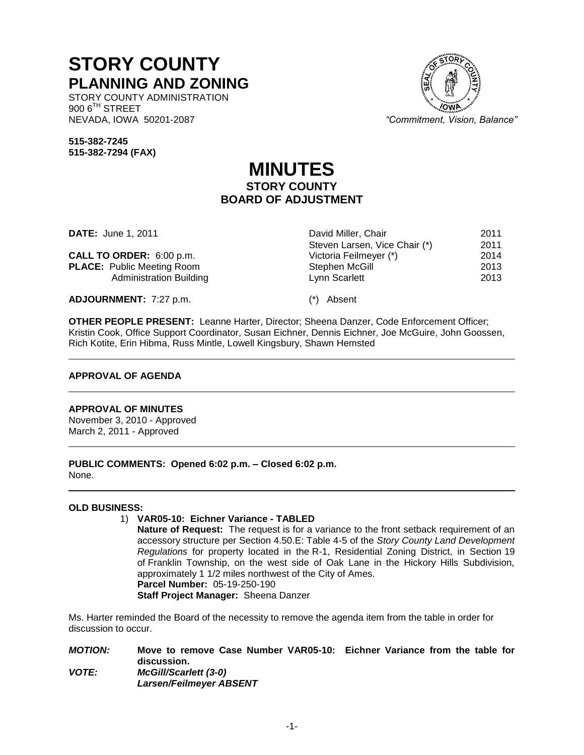# **STORY COUNTY PLANNING AND ZONING**

STORY COUNTY ADMINISTRATION  $900$   $6^{TH}$  STREET NEVADA, IOWA 50201-2087 *"Commitment, Vision, Balance"*

Steven Larsen, Vice Chair (\*) 2011<br>Victoria Feilmeyer (\*) 2014

**515-382-7245 515-382-7294 (FAX)**

# **MINUTES STORY COUNTY BOARD OF ADJUSTMENT**

**DATE:** June 1, 2011 **David Miller, Chair 2011** 

**CALL TO ORDER:** 6:00 p.m. Victoria Feilmeyer (\*) 2014 **PLACE:** Public Meeting Room **Stephen McGill** 2013<br>Administration Building **Stephen McGill** 2013 Administration Building **Lynn Scarlett** 2013

**ADJOURNMENT:** 7:27 p.m. (\*) Absent

**OTHER PEOPLE PRESENT:** Leanne Harter, Director; Sheena Danzer, Code Enforcement Officer; Kristin Cook, Office Support Coordinator, Susan Eichner, Dennis Eichner, Joe McGuire, John Goossen, Rich Kotite, Erin Hibma, Russ Mintle, Lowell Kingsbury, Shawn Hemsted

# **APPROVAL OF AGENDA**

# **APPROVAL OF MINUTES**

November 3, 2010 - Approved March 2, 2011 - Approved

**PUBLIC COMMENTS: Opened 6:02 p.m. – Closed 6:02 p.m.** None.

# **OLD BUSINESS:**

# 1) **VAR05-10: Eichner Variance - TABLED**

**Nature of Request:** The request is for a variance to the front setback requirement of an accessory structure per Section 4.50.E: Table 4-5 of the *Story County Land Development Regulations* for property located in the R-1, Residential Zoning District, in Section 19 of Franklin Township, on the west side of Oak Lane in the Hickory Hills Subdivision, approximately 1 1/2 miles northwest of the City of Ames. **Parcel Number:** 05-19-250-190 **Staff Project Manager:** Sheena Danzer

Ms. Harter reminded the Board of the necessity to remove the agenda item from the table in order for discussion to occur.

*MOTION:* **Move to remove Case Number VAR05-10: Eichner Variance from the table for discussion.** *VOTE: McGill/Scarlett (3-0) Larsen/Feilmeyer ABSENT*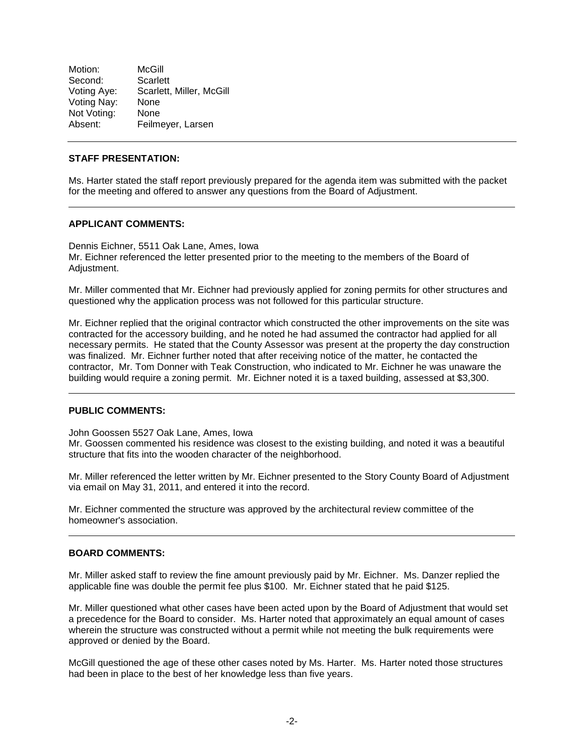Motion: McGill Second: Scarlett<br>Voting Aye: Scarlett, Scarlett, Miller, McGill Voting Nay: None Not Voting: None Absent: Feilmeyer, Larsen

# **STAFF PRESENTATION:**

Ms. Harter stated the staff report previously prepared for the agenda item was submitted with the packet for the meeting and offered to answer any questions from the Board of Adjustment.

#### **APPLICANT COMMENTS:**

Dennis Eichner, 5511 Oak Lane, Ames, Iowa Mr. Eichner referenced the letter presented prior to the meeting to the members of the Board of Adjustment.

Mr. Miller commented that Mr. Eichner had previously applied for zoning permits for other structures and questioned why the application process was not followed for this particular structure.

Mr. Eichner replied that the original contractor which constructed the other improvements on the site was contracted for the accessory building, and he noted he had assumed the contractor had applied for all necessary permits. He stated that the County Assessor was present at the property the day construction was finalized. Mr. Eichner further noted that after receiving notice of the matter, he contacted the contractor, Mr. Tom Donner with Teak Construction, who indicated to Mr. Eichner he was unaware the building would require a zoning permit. Mr. Eichner noted it is a taxed building, assessed at \$3,300.

# **PUBLIC COMMENTS:**

John Goossen 5527 Oak Lane, Ames, Iowa

Mr. Goossen commented his residence was closest to the existing building, and noted it was a beautiful structure that fits into the wooden character of the neighborhood.

Mr. Miller referenced the letter written by Mr. Eichner presented to the Story County Board of Adjustment via email on May 31, 2011, and entered it into the record.

Mr. Eichner commented the structure was approved by the architectural review committee of the homeowner's association.

#### **BOARD COMMENTS:**

Mr. Miller asked staff to review the fine amount previously paid by Mr. Eichner. Ms. Danzer replied the applicable fine was double the permit fee plus \$100. Mr. Eichner stated that he paid \$125.

Mr. Miller questioned what other cases have been acted upon by the Board of Adjustment that would set a precedence for the Board to consider. Ms. Harter noted that approximately an equal amount of cases wherein the structure was constructed without a permit while not meeting the bulk requirements were approved or denied by the Board.

McGill questioned the age of these other cases noted by Ms. Harter. Ms. Harter noted those structures had been in place to the best of her knowledge less than five years.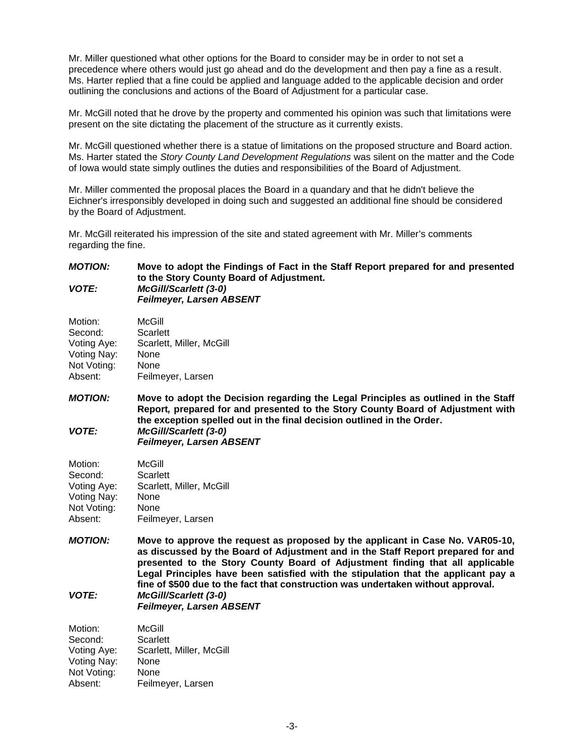Mr. Miller questioned what other options for the Board to consider may be in order to not set a precedence where others would just go ahead and do the development and then pay a fine as a result. Ms. Harter replied that a fine could be applied and language added to the applicable decision and order outlining the conclusions and actions of the Board of Adjustment for a particular case.

Mr. McGill noted that he drove by the property and commented his opinion was such that limitations were present on the site dictating the placement of the structure as it currently exists.

Mr. McGill questioned whether there is a statue of limitations on the proposed structure and Board action. Ms. Harter stated the *Story County Land Development Regulations* was silent on the matter and the Code of Iowa would state simply outlines the duties and responsibilities of the Board of Adjustment.

Mr. Miller commented the proposal places the Board in a quandary and that he didn't believe the Eichner's irresponsibly developed in doing such and suggested an additional fine should be considered by the Board of Adjustment.

Mr. McGill reiterated his impression of the site and stated agreement with Mr. Miller's comments regarding the fine.

#### *MOTION:* **Move to adopt the Findings of Fact in the Staff Report prepared for and presented to the Story County Board of Adjustment.** *VOTE: McGill/Scarlett (3-0) Feilmeyer, Larsen ABSENT*

| Motion:     | McGill                   |
|-------------|--------------------------|
| Second:     | Scarlett                 |
| Voting Aye: | Scarlett, Miller, McGill |
| Voting Nay: | None                     |
| Not Voting: | None                     |
| Absent:     | Feilmeyer, Larsen        |

*MOTION:* **Move to adopt the Decision regarding the Legal Principles as outlined in the Staff Report***,* **prepared for and presented to the Story County Board of Adjustment with the exception spelled out in the final decision outlined in the Order.** *VOTE: McGill/Scarlett (3-0) Feilmeyer, Larsen ABSENT*

| Motion:     | McGill                   |
|-------------|--------------------------|
| Second:     | Scarlett                 |
| Voting Aye: | Scarlett, Miller, McGill |
| Voting Nay: | None                     |
| Not Voting: | None                     |
| Absent:     | Feilmeyer, Larsen        |

*MOTION:* **Move to approve the request as proposed by the applicant in Case No. VAR05-10, as discussed by the Board of Adjustment and in the Staff Report prepared for and presented to the Story County Board of Adjustment finding that all applicable Legal Principles have been satisfied with the stipulation that the applicant pay a fine of \$500 due to the fact that construction was undertaken without approval.**  *VOTE: McGill/Scarlett (3-0)*

*Feilmeyer, Larsen ABSENT*

Motion: McGill Second: Scarlett Voting Aye: Scarlett, Miller, McGill Voting Nay: None Not Voting: None Absent: Feilmeyer, Larsen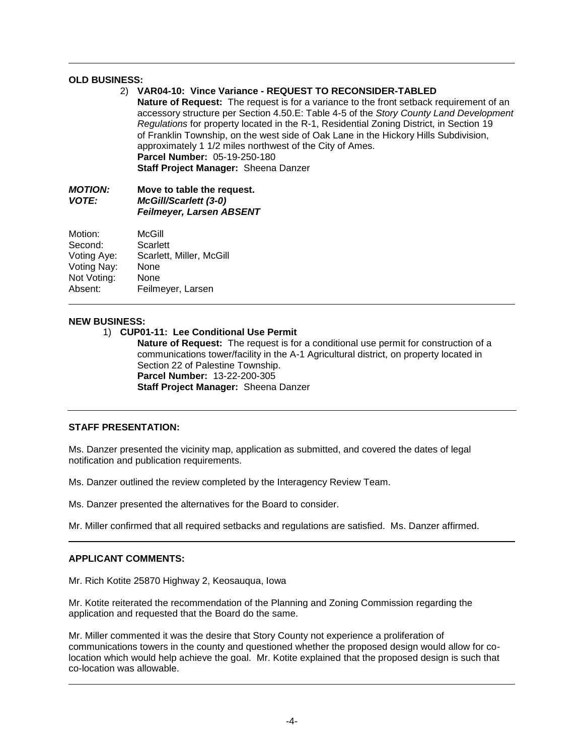# **OLD BUSINESS:**

# 2) **VAR04-10: Vince Variance - REQUEST TO RECONSIDER-TABLED**

**Nature of Request:** The request is for a variance to the front setback requirement of an accessory structure per Section 4.50.E: Table 4-5 of the *Story County Land Development Regulations* for property located in the R-1, Residential Zoning District, in Section 19 of Franklin Township, on the west side of Oak Lane in the Hickory Hills Subdivision, approximately 1 1/2 miles northwest of the City of Ames. **Parcel Number:** 05-19-250-180 **Staff Project Manager:** Sheena Danzer

### *MOTION:* **Move to table the request.** *VOTE: McGill/Scarlett (3-0) Feilmeyer, Larsen ABSENT*

| Motion:     | McGill                   |
|-------------|--------------------------|
| Second:     | Scarlett                 |
| Voting Aye: | Scarlett, Miller, McGill |
| Voting Nay: | None                     |
| Not Voting: | None                     |
| Absent:     | Feilmeyer, Larsen        |

#### **NEW BUSINESS:**

1) **CUP01-11: Lee Conditional Use Permit** 

**Nature of Request:** The request is for a conditional use permit for construction of a communications tower/facility in the A-1 Agricultural district, on property located in Section 22 of Palestine Township. **Parcel Number:** 13-22-200-305 **Staff Project Manager:** Sheena Danzer

# **STAFF PRESENTATION:**

Ms. Danzer presented the vicinity map, application as submitted, and covered the dates of legal notification and publication requirements.

Ms. Danzer outlined the review completed by the Interagency Review Team.

Ms. Danzer presented the alternatives for the Board to consider.

Mr. Miller confirmed that all required setbacks and regulations are satisfied. Ms. Danzer affirmed.

#### **APPLICANT COMMENTS:**

Mr. Rich Kotite 25870 Highway 2, Keosauqua, Iowa

Mr. Kotite reiterated the recommendation of the Planning and Zoning Commission regarding the application and requested that the Board do the same.

Mr. Miller commented it was the desire that Story County not experience a proliferation of communications towers in the county and questioned whether the proposed design would allow for colocation which would help achieve the goal. Mr. Kotite explained that the proposed design is such that co-location was allowable.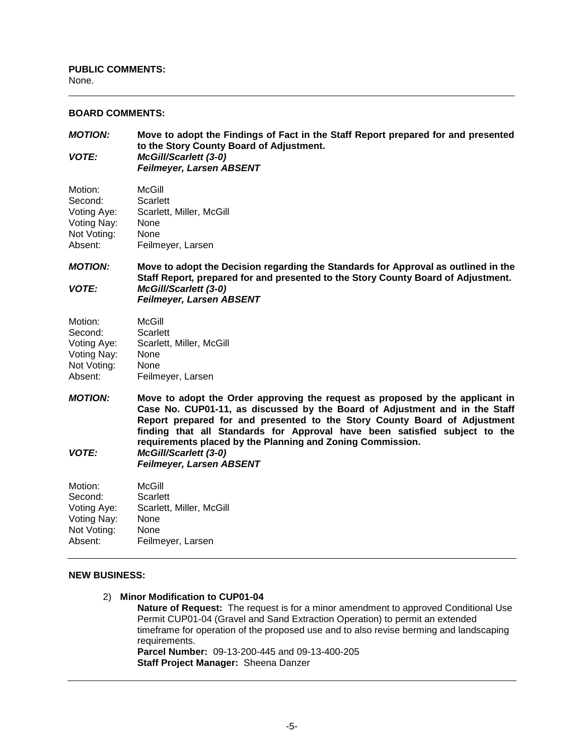# **BOARD COMMENTS:**

*MOTION:* **Move to adopt the Findings of Fact in the Staff Report prepared for and presented to the Story County Board of Adjustment.** *VOTE: McGill/Scarlett (3-0) Feilmeyer, Larsen ABSENT*

| Motion:     | McGill                   |
|-------------|--------------------------|
| Second:     | Scarlett                 |
| Voting Aye: | Scarlett, Miller, McGill |
| Voting Nay: | None                     |
| Not Voting: | None                     |
| Absent:     | Feilmeyer, Larsen        |

*MOTION:* **Move to adopt the Decision regarding the Standards for Approval as outlined in the Staff Report***,* **prepared for and presented to the Story County Board of Adjustment.** *VOTE: McGill/Scarlett (3-0) Feilmeyer, Larsen ABSENT*

| Motion:     | McGill                   |
|-------------|--------------------------|
| Second:     | Scarlett                 |
| Voting Aye: | Scarlett, Miller, McGill |
| Voting Nay: | None                     |
| Not Voting: | None                     |
| Absent:     | Feilmeyer, Larsen        |

*MOTION:* **Move to adopt the Order approving the request as proposed by the applicant in Case No. CUP01-11, as discussed by the Board of Adjustment and in the Staff Report prepared for and presented to the Story County Board of Adjustment finding that all Standards for Approval have been satisfied subject to the requirements placed by the Planning and Zoning Commission.** *VOTE: McGill/Scarlett (3-0)*

*Feilmeyer, Larsen ABSENT*

| Motion:<br>Second: | McGill<br>Scarlett       |
|--------------------|--------------------------|
| Voting Aye:        | Scarlett, Miller, McGill |
| Voting Nay:        | None                     |
| Not Voting:        | None                     |
| Absent:            | Feilmeyer, Larsen        |

#### **NEW BUSINESS:**

2) **Minor Modification to CUP01-04**

**Nature of Request:** The request is for a minor amendment to approved Conditional Use Permit CUP01-04 (Gravel and Sand Extraction Operation) to permit an extended timeframe for operation of the proposed use and to also revise berming and landscaping requirements. **Parcel Number:** 09-13-200-445 and 09-13-400-205

**Staff Project Manager:** Sheena Danzer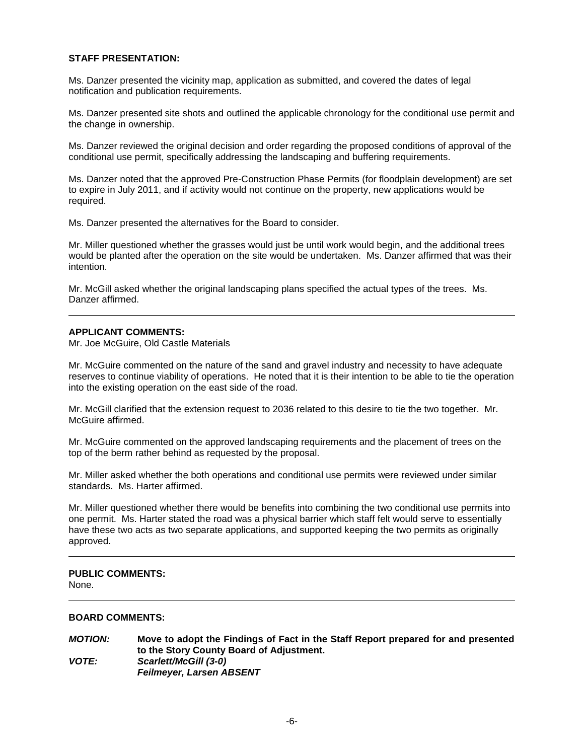# **STAFF PRESENTATION:**

Ms. Danzer presented the vicinity map, application as submitted, and covered the dates of legal notification and publication requirements.

Ms. Danzer presented site shots and outlined the applicable chronology for the conditional use permit and the change in ownership.

Ms. Danzer reviewed the original decision and order regarding the proposed conditions of approval of the conditional use permit, specifically addressing the landscaping and buffering requirements.

Ms. Danzer noted that the approved Pre-Construction Phase Permits (for floodplain development) are set to expire in July 2011, and if activity would not continue on the property, new applications would be required.

Ms. Danzer presented the alternatives for the Board to consider.

Mr. Miller questioned whether the grasses would just be until work would begin, and the additional trees would be planted after the operation on the site would be undertaken. Ms. Danzer affirmed that was their intention.

Mr. McGill asked whether the original landscaping plans specified the actual types of the trees. Ms. Danzer affirmed.

#### **APPLICANT COMMENTS:**

Mr. Joe McGuire, Old Castle Materials

Mr. McGuire commented on the nature of the sand and gravel industry and necessity to have adequate reserves to continue viability of operations. He noted that it is their intention to be able to tie the operation into the existing operation on the east side of the road.

Mr. McGill clarified that the extension request to 2036 related to this desire to tie the two together. Mr. McGuire affirmed.

Mr. McGuire commented on the approved landscaping requirements and the placement of trees on the top of the berm rather behind as requested by the proposal.

Mr. Miller asked whether the both operations and conditional use permits were reviewed under similar standards. Ms. Harter affirmed.

Mr. Miller questioned whether there would be benefits into combining the two conditional use permits into one permit. Ms. Harter stated the road was a physical barrier which staff felt would serve to essentially have these two acts as two separate applications, and supported keeping the two permits as originally approved.

#### **PUBLIC COMMENTS:**  None.

#### **BOARD COMMENTS:**

*MOTION:* **Move to adopt the Findings of Fact in the Staff Report prepared for and presented to the Story County Board of Adjustment.** *VOTE: Scarlett/McGill (3-0) Feilmeyer, Larsen ABSENT*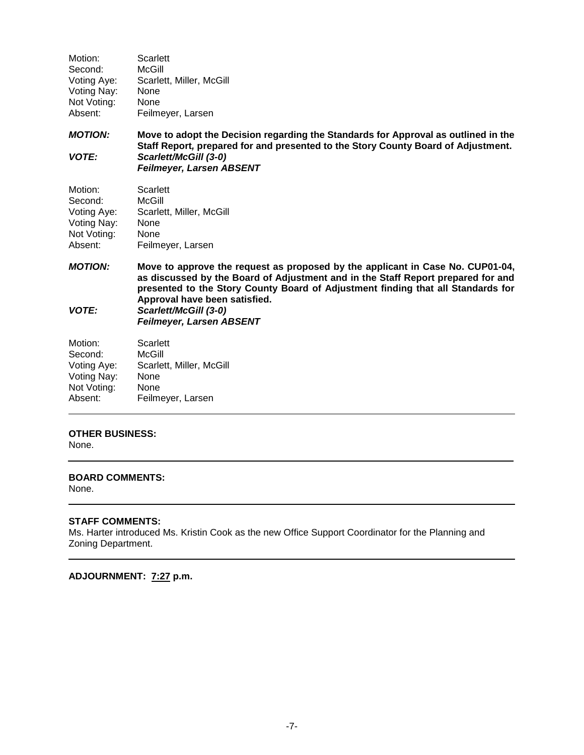| Scarlett, Miller, McGill |
|--------------------------|
|                          |
|                          |
|                          |
|                          |

*MOTION:* **Move to adopt the Decision regarding the Standards for Approval as outlined in the Staff Report***,* **prepared for and presented to the Story County Board of Adjustment.** *VOTE: Scarlett/McGill (3-0) Feilmeyer, Larsen ABSENT*

| Motion:     | Scarlett                 |
|-------------|--------------------------|
| Second:     | McGill                   |
| Voting Aye: | Scarlett, Miller, McGill |
| Voting Nay: | None                     |
| Not Voting: | None                     |
| Absent:     | Feilmeyer, Larsen        |

*MOTION:* **Move to approve the request as proposed by the applicant in Case No. CUP01-04, as discussed by the Board of Adjustment and in the Staff Report prepared for and presented to the Story County Board of Adjustment finding that all Standards for Approval have been satisfied.** *VOTE: Scarlett/McGill (3-0)*

*Feilmeyer, Larsen ABSENT*

| Motion:     | Scarlett                 |
|-------------|--------------------------|
| Second:     | McGill                   |
| Voting Aye: | Scarlett, Miller, McGill |
| Voting Nay: | None                     |
| Not Voting: | None                     |
| Absent:     | Feilmeyer, Larsen        |

# **OTHER BUSINESS:**

None.

# **BOARD COMMENTS:**

None.

# **STAFF COMMENTS:**

Ms. Harter introduced Ms. Kristin Cook as the new Office Support Coordinator for the Planning and Zoning Department.

# **ADJOURNMENT: 7:27 p.m.**